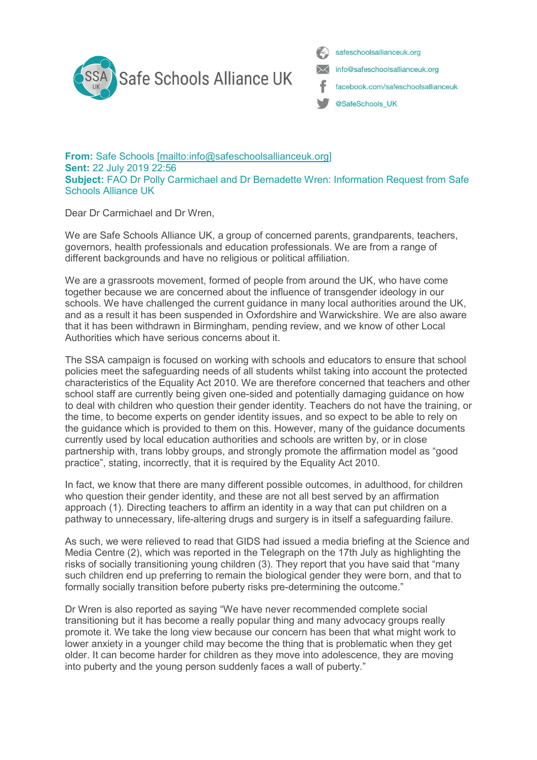

safeschoolsallianceuk.org info@safeschoolsallianceuk.org facebook.com/safeschoolsallianceuk @SafeSchools\_UK

**From:** Safe Schools [\[mailto:info@safeschoolsallianceuk.org\]](mailto:info@safeschoolsallianceuk.org) **Sent:** 22 July 2019 22:56 **Subject:** FAO Dr Polly Carmichael and Dr Bernadette Wren: Information Request from Safe Schools Alliance UK

Dear Dr Carmichael and Dr Wren,

We are Safe Schools Alliance UK, a group of concerned parents, grandparents, teachers, governors, health professionals and education professionals. We are from a range of different backgrounds and have no religious or political affiliation.

We are a grassroots movement, formed of people from around the UK, who have come together because we are concerned about the influence of transgender ideology in our schools. We have challenged the current guidance in many local authorities around the UK, and as a result it has been suspended in Oxfordshire and Warwickshire. We are also aware that it has been withdrawn in Birmingham, pending review, and we know of other Local Authorities which have serious concerns about it.

The SSA campaign is focused on working with schools and educators to ensure that school policies meet the safeguarding needs of all students whilst taking into account the protected characteristics of the Equality Act 2010. We are therefore concerned that teachers and other school staff are currently being given one-sided and potentially damaging guidance on how to deal with children who question their gender identity. Teachers do not have the training, or the time, to become experts on gender identity issues, and so expect to be able to rely on the guidance which is provided to them on this. However, many of the guidance documents currently used by local education authorities and schools are written by, or in close partnership with, trans lobby groups, and strongly promote the affirmation model as "good practice", stating, incorrectly, that it is required by the Equality Act 2010.

In fact, we know that there are many different possible outcomes, in adulthood, for children who question their gender identity, and these are not all best served by an affirmation approach (1). Directing teachers to affirm an identity in a way that can put children on a pathway to unnecessary, life-altering drugs and surgery is in itself a safeguarding failure.

As such, we were relieved to read that GIDS had issued a media briefing at the Science and Media Centre (2), which was reported in the Telegraph on the 17th July as highlighting the risks of socially transitioning young children (3). They report that you have said that "many such children end up preferring to remain the biological gender they were born, and that to formally socially transition before puberty risks pre-determining the outcome."

Dr Wren is also reported as saying "We have never recommended complete social transitioning but it has become a really popular thing and many advocacy groups really promote it. We take the long view because our concern has been that what might work to lower anxiety in a younger child may become the thing that is problematic when they get older. It can become harder for children as they move into adolescence, they are moving into puberty and the young person suddenly faces a wall of puberty."